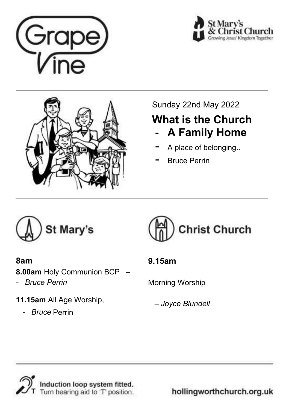





## Sunday 22nd May 2022

## **What is the Church**  - **A Family Home**

- A place of belonging..
- **Bruce Perrin**



#### **8am**

**8.00am** Holy Communion BCP *–* 

*- Bruce Perrin* 

**11.15am** All Age Worship,

 *- Bruce* Perrin



## **9.15am**

Morning Worship

 *– Joyce Blundell*



hollingworthchurch.org.uk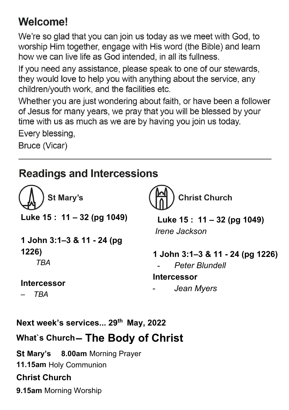# Welcome!

We're so glad that you can join us today as we meet with God, to worship Him together, engage with His word (the Bible) and learn how we can live life as God intended, in all its fullness.

If you need any assistance, please speak to one of our stewards, they would love to help you with anything about the service, any children/youth work, and the facilities etc.

Whether you are just wondering about faith, or have been a follower of Jesus for many years, we pray that you will be blessed by your time with us as much as we are by having you join us today.

Every blessing,

Bruce (Vicar)

## **Readings and Intercessions**

**St Mary's Luke 15 : 11 – 32 (pg 1049)** 

**1 John 3:1–3 & 11 - 24 (pg 1226)**   *TBA* 

**Intercessor** 

*– TBA* 

**Christ Church** 

 **Luke 15 : 11 – 32 (pg 1049)**   *Irene Jackson* 

**1 John 3:1–3 & 11 - 24 (pg 1226)**  - *Peter Blundell*  **Intercessor**  - *Jean Myers* 

**Next week's services... 29th May, 2022 What`s Church – The Body of Christ** 

**St Mary's 8.00am** Morning Prayer **11.15am** Holy Communion **Christ Church 9.15am** Morning Worship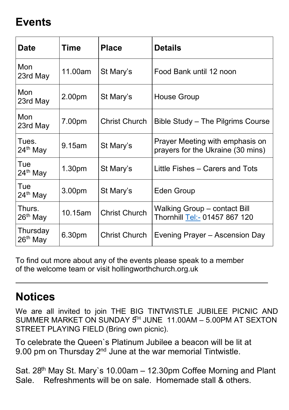## **Events**

| Date                             | Time               | <b>Place</b>         | <b>Details</b>                                                       |
|----------------------------------|--------------------|----------------------|----------------------------------------------------------------------|
| Mon<br>23rd May                  | 11.00am            | St Mary's            | Food Bank until 12 noon                                              |
| Mon<br>23rd May                  | 2.00pm             | St Mary's            | House Group                                                          |
| Mon<br>23rd May                  | 7.00pm             | <b>Christ Church</b> | Bible Study – The Pilgrims Course                                    |
| Tues.<br>24 <sup>th</sup> May    | 9.15am             | St Mary's            | Prayer Meeting with emphasis on<br>prayers for the Ukraine (30 mins) |
| Tue<br>24 <sup>th</sup> May      | 1.30 <sub>pm</sub> | St Mary's            | Little Fishes – Carers and Tots                                      |
| Tue<br>$24th$ May                | 3.00 <sub>pm</sub> | St Mary's            | Eden Group                                                           |
| Thurs.<br>26 <sup>th</sup> May   | 10.15am            | <b>Christ Church</b> | Walking Group - contact Bill<br>Thornhill <u>Tel:-</u> 01457 867 120 |
| Thursday<br>26 <sup>th</sup> May | 6.30pm             | <b>Christ Church</b> | Evening Prayer – Ascension Day                                       |

To find out more about any of the events please speak to a member of the welcome team or visit hollingworthchurch.org.uk

## **Notices**

We are all invited to join THE BIG TINTWISTLE JUBILEE PICNIC AND SUMMER MARKET ON SUNDAY  $5<sup>H</sup>$  JUNE 11.00AM – 5.00PM AT SEXTON STREET PLAYING FIELD (Bring own picnic).

To celebrate the Queen`s Platinum Jubilee a beacon will be lit at 9.00 pm on Thursday 2<sup>nd</sup> June at the war memorial Tintwistle.

Sat. 28<sup>th</sup> May St. Mary's 10.00am – 12.30pm Coffee Morning and Plant Sale. Refreshments will be on sale. Homemade stall & others.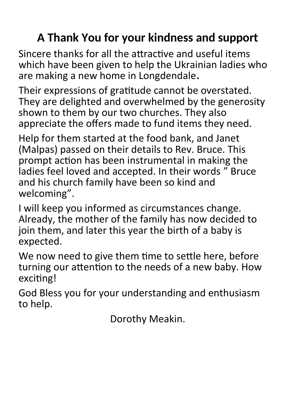# **A Thank You for your kindness and support**

Sincere thanks for all the attractive and useful items which have been given to help the Ukrainian ladies who are making a new home in Longdendale**.**

Their expressions of gratitude cannot be overstated. They are delighted and overwhelmed by the generosity shown to them by our two churches. They also appreciate the offers made to fund items they need.

Help for them started at the food bank, and Janet (Malpas) passed on their details to Rev. Bruce. This prompt action has been instrumental in making the ladies feel loved and accepted. In their words " Bruce and his church family have been so kind and welcoming".

I will keep you informed as circumstances change. Already, the mother of the family has now decided to join them, and later this year the birth of a baby is expected.

We now need to give them time to settle here, before turning our attention to the needs of a new baby. How exciting!

God Bless you for your understanding and enthusiasm to help.

Dorothy Meakin.